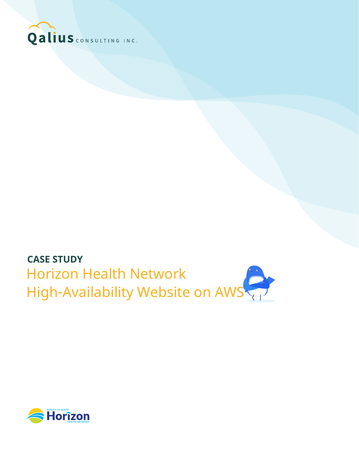

# **CASE STUDY** Horizon Health Network High-Availability Website on AWS